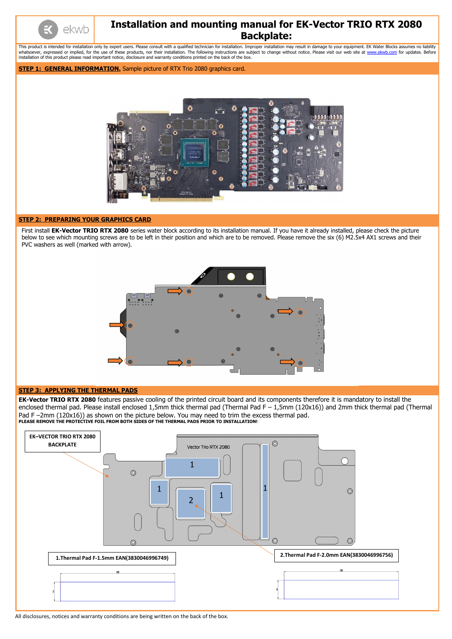All disclosures, notices and warranty conditions are being written on the back of the box.



# **Installation and mounting manual for EK-Vector TRIO RTX 2080 Backplate:**

This product is intended for installation only by expert users. Please consult with a qualified technician for installation. Improper installation may result in damage to your equipment. EK Water Blocks assumes no liabilit whatsoever, expressed or implied, for the use of these products, nor their installation. The following instructions are subject to change without notice. Please visit our web site at [www.ekwb.com](http://www.ekwb.com/) for updates. Before installation of this product please read important notice, disclosure and warranty conditions printed on the back of the box.

## **STEP 1: GENERAL INFORMATION.** Sample picture of RTX Trio 2080 graphics card.



## **STEP 2: PREPARING YOUR GRAPHICS CARD**

First install **EK-Vector TRIO RTX 2080** series water block according to its installation manual. If you have it already installed, please check the picture below to see which mounting screws are to be left in their position and which are to be removed. Please remove the six (6) M2.5x4 AX1 screws and their PVC washers as well (marked with arrow).



### **STEP 3: APPLYING THE THERMAL PADS**

**EK-Vector TRIO RTX 2080** features passive cooling of the printed circuit board and its components therefore it is mandatory to install the enclosed thermal pad. Please install enclosed 1,5mm thick thermal pad (Thermal Pad F – 1,5mm (120x16)) and 2mm thick thermal pad (Thermal Pad F-2mm (120x16)) as shown on the picture below. You may need to trim the excess thermal pad. **PLEASE REMOVE THE PROTECTIVE FOIL FROM BOTH SIDES OF THE THERMAL PADS PRIOR TO INSTALLATION!**